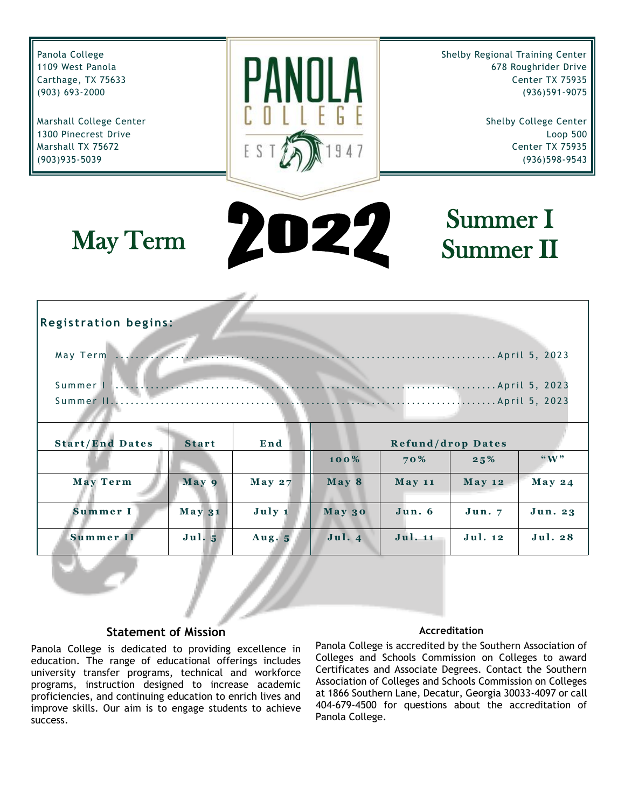<span id="page-0-0"></span>Panola College Shelby Regional Training Center 1109 West Panola 678 Roughrider Drive Carthage, TX 75633 Center TX 75935 (903) 693-2000 (936)591-9075 Marshall College Center Shelby College Center 1300 Pinecrest Drive Loop 500 Marshall TX 75672 Center TX 75935 (903)935-5039 (936)598-9543 Summer I D27 May Term Summer II **Registration begins:** M a y T e r m ............................................................................ A p r i l 5 , 2 0 2 3 S u m m e r I ............................................................................ A p r i l 5 , 2 0 2 3 S u m m e r I I ............................................................................. A p r i l 5 , 2 0 2 3 **Start/End Dates Start End <b>Refund/drop Dates 1 0 0 % 7 0 % 2 5 % "W " M a y T e r m M a y 9 M a y 2 7 M a y 8 M a y 1 1 M a y 1 2 M a y 2 4 S u m m e r I M a y 3 1 J u l y 1 M a y 3 0 J u n . 6 J u n . 7 J u n . 2 3 S u m m e r I I J u l . 5 A u g . 5 J u l . 4 J u l . 1 1 J u l . 1 2 J u l . 2 8**

#### **Statement of Mission**

Panola College is dedicated to providing excellence in education. The range of educational offerings includes university transfer programs, technical and workforce programs, instruction designed to increase academic proficiencies, and continuing education to enrich lives and improve skills. Our aim is to engage students to achieve success.

#### **Accreditation**

Panola College is accredited by the Southern Association of Colleges and Schools Commission on Colleges to award Certificates and Associate Degrees. Contact the Southern Association of Colleges and Schools Commission on Colleges at 1866 Southern Lane, Decatur, Georgia 30033-4097 or call 404-679-4500 for questions about the accreditation of Panola College.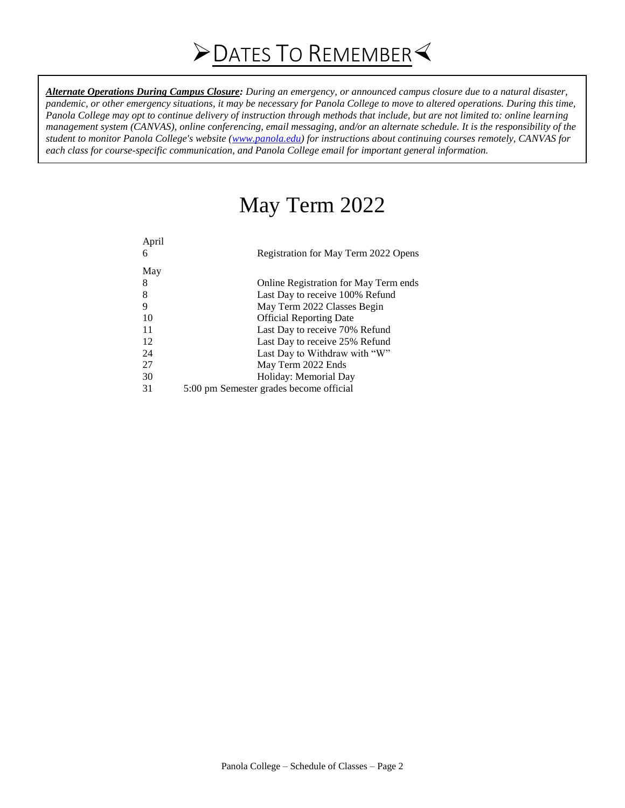*Alternate Operations During Campus Closure: During an emergency, or announced campus closure due to a natural disaster, pandemic, or other emergency situations, it may be necessary for Panola College to move to altered operations. During this time, Panola College may opt to continue delivery of instruction through methods that include, but are not limited to: online learning management system (CANVAS), online conferencing, email messaging, and/or an alternate schedule. It is the responsibility of the student to monitor Panola College's website [\(www.panola.edu\)](http://www.panola.edu/)* for instructions about continuing courses remotely, CANVAS for *each class for course-specific communication, and Panola College email for important general information.*

# May Term 2022

| April<br>6 | Registration for May Term 2022 Opens    |
|------------|-----------------------------------------|
| May        |                                         |
| 8          | Online Registration for May Term ends   |
| 8          | Last Day to receive 100% Refund         |
| 9          | May Term 2022 Classes Begin             |
| 10         | <b>Official Reporting Date</b>          |
| 11         | Last Day to receive 70% Refund          |
| 12         | Last Day to receive 25% Refund          |
| 24         | Last Day to Withdraw with "W"           |
| 27         | May Term 2022 Ends                      |
| 30         | Holiday: Memorial Day                   |
| 31         | 5:00 pm Semester grades become official |
|            |                                         |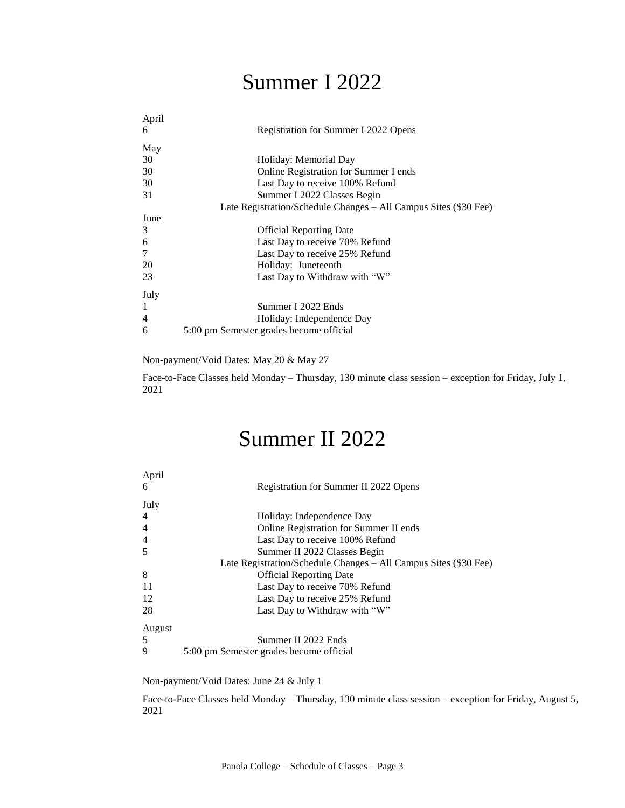# Summer I 2022

| April          |                                                                  |
|----------------|------------------------------------------------------------------|
| 6              | Registration for Summer I 2022 Opens                             |
| May            |                                                                  |
| 30             | Holiday: Memorial Day                                            |
| 30             | Online Registration for Summer I ends                            |
| 30             | Last Day to receive 100% Refund                                  |
| 31             | Summer I 2022 Classes Begin                                      |
|                | Late Registration/Schedule Changes – All Campus Sites (\$30 Fee) |
| June           |                                                                  |
| 3              | <b>Official Reporting Date</b>                                   |
| 6              | Last Day to receive 70% Refund                                   |
| 7              | Last Day to receive 25% Refund                                   |
| 20             | Holiday: Juneteenth                                              |
| 23             | Last Day to Withdraw with "W"                                    |
| July           |                                                                  |
| -1             | Summer I 2022 Ends                                               |
| $\overline{4}$ | Holiday: Independence Day                                        |
| 6              | 5:00 pm Semester grades become official                          |

Non-payment/Void Dates: May 20 & May 27

Face-to-Face Classes held Monday – Thursday, 130 minute class session – exception for Friday, July 1, 2021

# Summer II 2022

| April  |                                                                  |
|--------|------------------------------------------------------------------|
| 6      | Registration for Summer II 2022 Opens                            |
| July   |                                                                  |
| 4      | Holiday: Independence Day                                        |
| 4      | Online Registration for Summer II ends                           |
| 4      | Last Day to receive 100% Refund                                  |
| 5      | Summer II 2022 Classes Begin                                     |
|        | Late Registration/Schedule Changes - All Campus Sites (\$30 Fee) |
| 8      | <b>Official Reporting Date</b>                                   |
| 11     | Last Day to receive 70% Refund                                   |
| 12     | Last Day to receive 25% Refund                                   |
| 28     | Last Day to Withdraw with "W"                                    |
| August |                                                                  |
| 5      | Summer II 2022 Ends                                              |
| 9      | 5:00 pm Semester grades become official                          |

Non-payment/Void Dates: June 24 & July 1

Face-to-Face Classes held Monday – Thursday, 130 minute class session – exception for Friday, August 5, 2021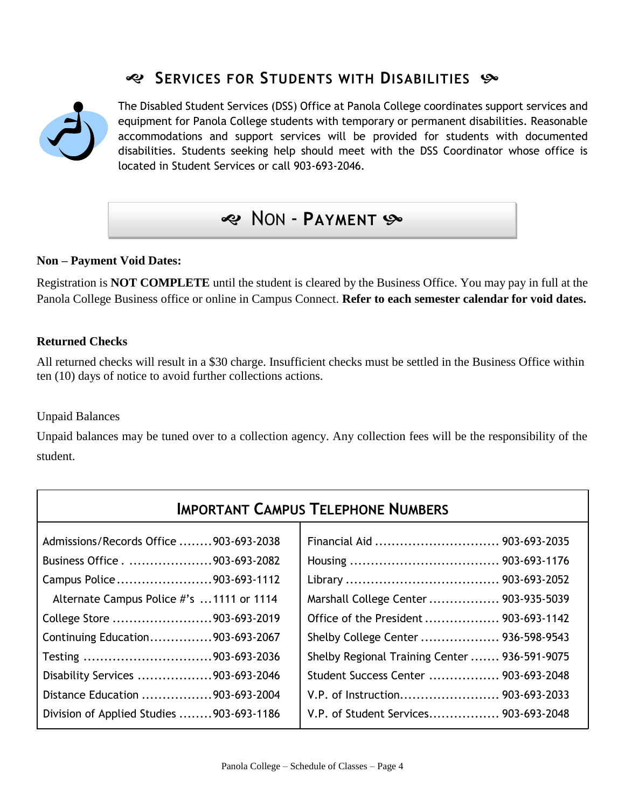### **SERVICES FOR STUDENTS WITH DISABILITIES**



The Disabled Student Services (DSS) Office at Panola College coordinates support services and equipment for Panola College students with temporary or permanent disabilities. Reasonable accommodations and support services will be provided for students with documented disabilities. Students seeking help should meet with the DSS Coordinator whose office is located in Student Services or call 903-693-2046.

### NON - **PAYMENT**

#### **Non – Payment Void Dates:**

Registration is **NOT COMPLETE** until the student is cleared by the Business Office. You may pay in full at the Panola College Business office or online in Campus Connect. **Refer to each semester calendar for void dates.**

#### **Returned Checks**

All returned checks will result in a \$30 charge. Insufficient checks must be settled in the Business Office within ten (10) days of notice to avoid further collections actions.

#### Unpaid Balances

Unpaid balances may be tuned over to a collection agency. Any collection fees will be the responsibility of the student.

| <b>IMPORTANT CAMPUS TELEPHONE NUMBERS</b> |                                               |  |  |  |  |  |  |  |
|-------------------------------------------|-----------------------------------------------|--|--|--|--|--|--|--|
| Admissions/Records Office 903-693-2038    |                                               |  |  |  |  |  |  |  |
| Business Office903-693-2082               |                                               |  |  |  |  |  |  |  |
| Campus Police903-693-1112                 |                                               |  |  |  |  |  |  |  |
| Alternate Campus Police #'s 1111 or 1114  | Marshall College Center  903-935-5039         |  |  |  |  |  |  |  |
| College Store 903-693-2019                | Office of the President  903-693-1142         |  |  |  |  |  |  |  |
| Continuing Education903-693-2067          | Shelby College Center  936-598-9543           |  |  |  |  |  |  |  |
| Testing 903-693-2036                      | Shelby Regional Training Center  936-591-9075 |  |  |  |  |  |  |  |
| Disability Services 903-693-2046          | Student Success Center  903-693-2048          |  |  |  |  |  |  |  |
| Distance Education 903-693-2004           |                                               |  |  |  |  |  |  |  |
| Division of Applied Studies 903-693-1186  | V.P. of Student Services 903-693-2048         |  |  |  |  |  |  |  |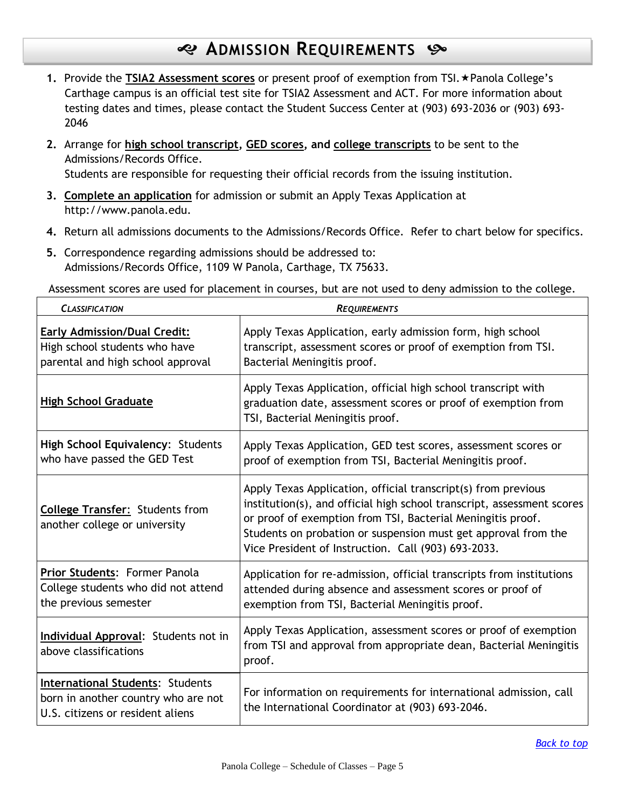### **ADMISSION REQUIREMENTS**

- 1. Provide the TSIA2 Assessment scores or present proof of exemption from TSI. \* Panola College's Carthage campus is an official test site for TSIA2 Assessment and ACT. For more information about testing dates and times, please contact the Student Success Center at (903) 693-2036 or (903) 693- 2046
- **2.** Arrange for **high school transcript, GED scores, and college transcripts** to be sent to the Admissions/Records Office. Students are responsible for requesting their official records from the issuing institution.
- **3. Complete an application** for admission or submit an Apply Texas Application at http://www.panola.edu.
- **4.** Return all admissions documents to the Admissions/Records Office. Refer to chart below for specifics.
- **5.** Correspondence regarding admissions should be addressed to: Admissions/Records Office, 1109 W Panola, Carthage, TX 75633.

Assessment scores are used for placement in courses, but are not used to deny admission to the college.

| <b>CLASSIFICATION</b>                                                                                              | <b>REQUIREMENTS</b>                                                                                                                                                                                                                                                                                                             |
|--------------------------------------------------------------------------------------------------------------------|---------------------------------------------------------------------------------------------------------------------------------------------------------------------------------------------------------------------------------------------------------------------------------------------------------------------------------|
| <b>Early Admission/Dual Credit:</b><br>High school students who have<br>parental and high school approval          | Apply Texas Application, early admission form, high school<br>transcript, assessment scores or proof of exemption from TSI.<br>Bacterial Meningitis proof.                                                                                                                                                                      |
| <b>High School Graduate</b>                                                                                        | Apply Texas Application, official high school transcript with<br>graduation date, assessment scores or proof of exemption from<br>TSI, Bacterial Meningitis proof.                                                                                                                                                              |
| High School Equivalency: Students<br>who have passed the GED Test                                                  | Apply Texas Application, GED test scores, assessment scores or<br>proof of exemption from TSI, Bacterial Meningitis proof.                                                                                                                                                                                                      |
| <b>College Transfer: Students from</b><br>another college or university                                            | Apply Texas Application, official transcript(s) from previous<br>institution(s), and official high school transcript, assessment scores<br>or proof of exemption from TSI, Bacterial Meningitis proof.<br>Students on probation or suspension must get approval from the<br>Vice President of Instruction. Call (903) 693-2033. |
| Prior Students: Former Panola<br>College students who did not attend<br>the previous semester                      | Application for re-admission, official transcripts from institutions<br>attended during absence and assessment scores or proof of<br>exemption from TSI, Bacterial Meningitis proof.                                                                                                                                            |
| Individual Approval: Students not in<br>above classifications                                                      | Apply Texas Application, assessment scores or proof of exemption<br>from TSI and approval from appropriate dean, Bacterial Meningitis<br>proof.                                                                                                                                                                                 |
| <b>International Students: Students</b><br>born in another country who are not<br>U.S. citizens or resident aliens | For information on requirements for international admission, call<br>the International Coordinator at (903) 693-2046.                                                                                                                                                                                                           |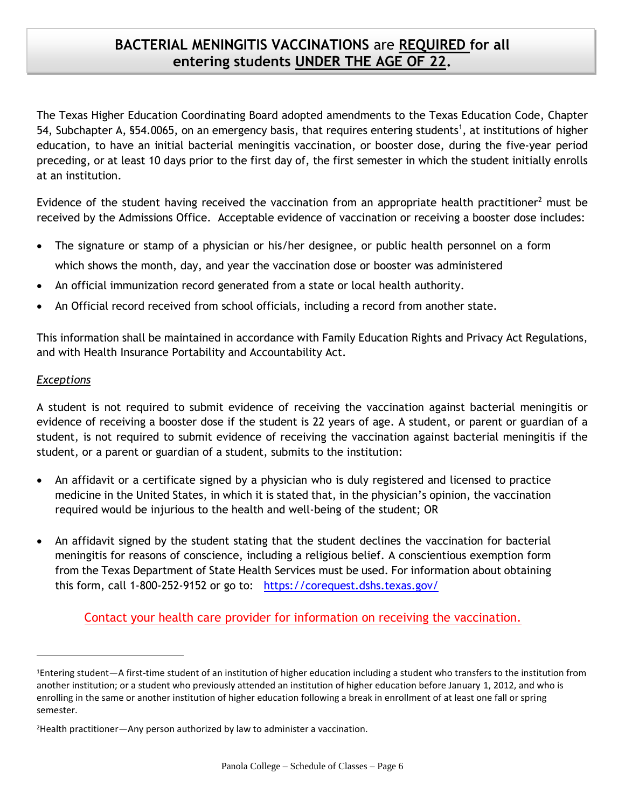### **BACTERIAL MENINGITIS VACCINATIONS** are **REQUIRED for all entering students UNDER THE AGE OF 22.**

The Texas Higher Education Coordinating Board adopted amendments to the Texas Education Code, Chapter 54, Subchapter A, §54.0065, on an emergency basis, that requires entering students<sup>1</sup>, at institutions of higher education, to have an initial bacterial meningitis vaccination, or booster dose, during the five-year period preceding, or at least 10 days prior to the first day of, the first semester in which the student initially enrolls at an institution.

Evidence of the student having received the vaccination from an appropriate health practitioner<sup>2</sup> must be received by the Admissions Office. Acceptable evidence of vaccination or receiving a booster dose includes:

- The signature or stamp of a physician or his/her designee, or public health personnel on a form which shows the month, day, and year the vaccination dose or booster was administered
- An official immunization record generated from a state or local health authority.
- An Official record received from school officials, including a record from another state.

This information shall be maintained in accordance with Family Education Rights and Privacy Act Regulations, and with Health Insurance Portability and Accountability Act.

#### *Exceptions*

l

A student is not required to submit evidence of receiving the vaccination against bacterial meningitis or evidence of receiving a booster dose if the student is 22 years of age. A student, or parent or guardian of a student, is not required to submit evidence of receiving the vaccination against bacterial meningitis if the student, or a parent or guardian of a student, submits to the institution:

- An affidavit or a certificate signed by a physician who is duly registered and licensed to practice medicine in the United States, in which it is stated that, in the physician's opinion, the vaccination required would be injurious to the health and well-being of the student; OR
- An affidavit signed by the student stating that the student declines the vaccination for bacterial meningitis for reasons of conscience, including a religious belief. A conscientious exemption form from the Texas Department of State Health Services must be used. For information about obtaining this form, call 1-800-252-9152 or go to: <https://corequest.dshs.texas.gov/>

Contact your health care provider for information on receiving the vaccination.

<sup>1</sup>Entering student—A first-time student of an institution of higher education including a student who transfers to the institution from another institution; or a student who previously attended an institution of higher education before January 1, 2012, and who is enrolling in the same or another institution of higher education following a break in enrollment of at least one fall or spring semester.

<sup>2</sup>Health practitioner—Any person authorized by law to administer a vaccination.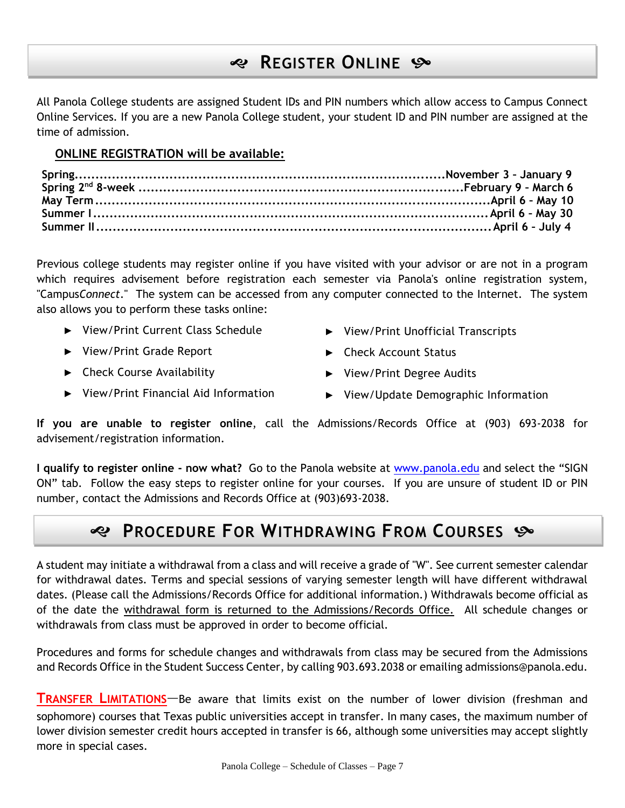## **REGISTER ONLINE**

All Panola College students are assigned Student IDs and PIN numbers which allow access to Campus Connect Online Services. If you are a new Panola College student, your student ID and PIN number are assigned at the time of admission.

#### **ONLINE REGISTRATION will be available:**

Previous college students may register online if you have visited with your advisor or are not in a program which requires advisement before registration each semester via Panola's online registration system, "Campus*Connect*." The system can be accessed from any computer connected to the Internet. The system also allows you to perform these tasks online:

- ► View/Print Current Class Schedule
- ► View/Print Grade Report
- ► Check Course Availability
- ► View/Print Financial Aid Information
- ► View/Print Unofficial Transcripts
- ► Check Account Status
- ► View/Print Degree Audits
- ► View/Update Demographic Information

**If you are unable to register online**, call the Admissions/Records Office at (903) 693-2038 for advisement/registration information.

**I qualify to register online - now what?** Go to the Panola website at [www.panola.edu](http://www.panola.edu/) and select the "SIGN ON" tab. Follow the easy steps to register online for your courses. If you are unsure of student ID or PIN number, contact the Admissions and Records Office at (903)693-2038.

## **PROCEDURE FOR WITHDRAWING FROM COURSES**

A student may initiate a withdrawal from a class and will receive a grade of "W". See current semester calendar for withdrawal dates. Terms and special sessions of varying semester length will have different withdrawal dates. (Please call the Admissions/Records Office for additional information.) Withdrawals become official as of the date the withdrawal form is returned to the Admissions/Records Office. All schedule changes or withdrawals from class must be approved in order to become official.

Procedures and forms for schedule changes and withdrawals from class may be secured from the Admissions and Records Office in the Student Success Center, by calling 903.693.2038 or emailing admissions@panola.edu.

**TRANSFER LIMITATIONS**—Be aware that limits exist on the number of lower division (freshman and sophomore) courses that Texas public universities accept in transfer. In many cases, the maximum number of lower division semester credit hours accepted in transfer is 66, although some universities may accept slightly more in special cases.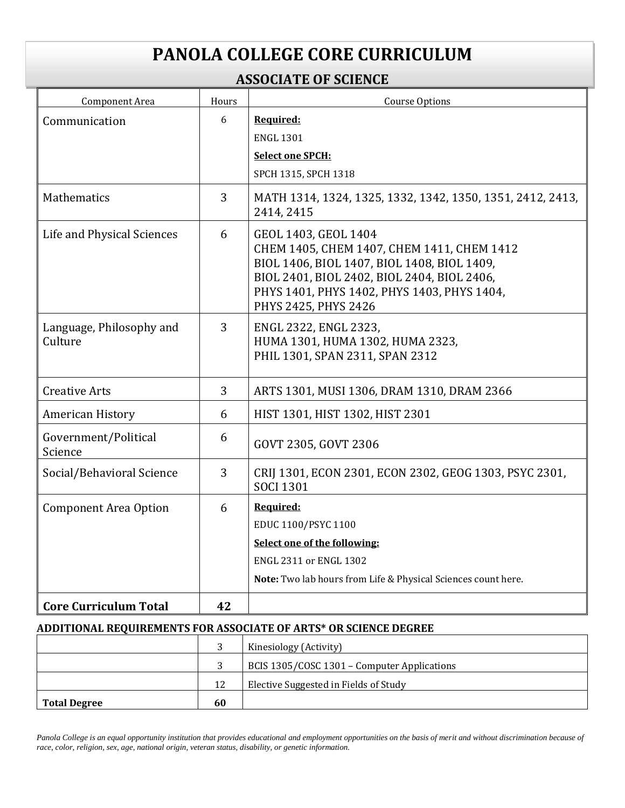# **PANOLA COLLEGE CORE CURRICULUM**

### **ASSOCIATE OF SCIENCE**

| Component Area                      | Hours | Course Options                                                                                                                                                                                                                          |  |  |  |
|-------------------------------------|-------|-----------------------------------------------------------------------------------------------------------------------------------------------------------------------------------------------------------------------------------------|--|--|--|
| Communication                       | 6     | Required:                                                                                                                                                                                                                               |  |  |  |
|                                     |       | <b>ENGL 1301</b>                                                                                                                                                                                                                        |  |  |  |
|                                     |       | <b>Select one SPCH:</b>                                                                                                                                                                                                                 |  |  |  |
|                                     |       | SPCH 1315, SPCH 1318                                                                                                                                                                                                                    |  |  |  |
| Mathematics                         | 3     | MATH 1314, 1324, 1325, 1332, 1342, 1350, 1351, 2412, 2413,<br>2414, 2415                                                                                                                                                                |  |  |  |
| Life and Physical Sciences          | 6     | GEOL 1403, GEOL 1404<br>CHEM 1405, CHEM 1407, CHEM 1411, CHEM 1412<br>BIOL 1406, BIOL 1407, BIOL 1408, BIOL 1409,<br>BIOL 2401, BIOL 2402, BIOL 2404, BIOL 2406,<br>PHYS 1401, PHYS 1402, PHYS 1403, PHYS 1404,<br>PHYS 2425, PHYS 2426 |  |  |  |
| Language, Philosophy and<br>Culture | 3     | ENGL 2322, ENGL 2323,<br>HUMA 1301, HUMA 1302, HUMA 2323,<br>PHIL 1301, SPAN 2311, SPAN 2312                                                                                                                                            |  |  |  |
| <b>Creative Arts</b>                | 3     | ARTS 1301, MUSI 1306, DRAM 1310, DRAM 2366                                                                                                                                                                                              |  |  |  |
| American History                    | 6     | HIST 1301, HIST 1302, HIST 2301                                                                                                                                                                                                         |  |  |  |
| Government/Political<br>Science     | 6     | GOVT 2305, GOVT 2306                                                                                                                                                                                                                    |  |  |  |
| Social/Behavioral Science           | 3     | CRIJ 1301, ECON 2301, ECON 2302, GEOG 1303, PSYC 2301,<br><b>SOCI 1301</b>                                                                                                                                                              |  |  |  |
| <b>Component Area Option</b>        | 6     | Required:<br>EDUC 1100/PSYC 1100<br>Select one of the following:<br>ENGL 2311 or ENGL 1302<br>Note: Two lab hours from Life & Physical Sciences count here.                                                                             |  |  |  |
| <b>Core Curriculum Total</b>        | 42    |                                                                                                                                                                                                                                         |  |  |  |

#### **ADDITIONAL REQUIREMENTS FOR ASSOCIATE OF ARTS\* OR SCIENCE DEGREE**

|                     |    | Kinesiology (Activity)                      |
|---------------------|----|---------------------------------------------|
|                     |    | BCIS 1305/COSC 1301 - Computer Applications |
|                     | 12 | Elective Suggested in Fields of Study       |
| <b>Total Degree</b> | 60 |                                             |

Panola College is an equal opportunity institution that provides educational and employment opportunities on the basis of merit and without discrimination because of *race, color, religion, sex, age, national origin, veteran status, disability, or genetic information.*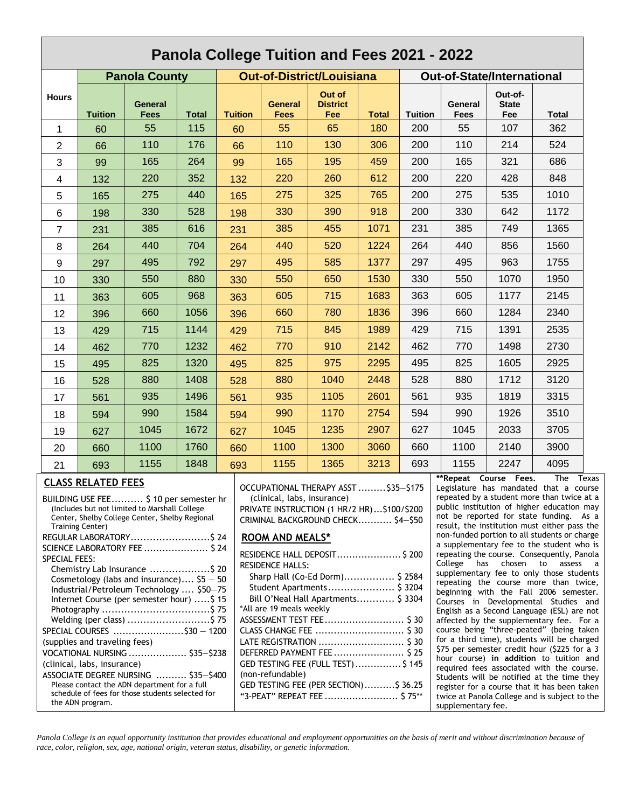| Panola College Tuition and Fees 2021 - 2022                                                                                                                                                                                                                                                                                                                                                                                                                                                                                                                                                                                                                                                                                                                                                                                                                                                                                                                                                                                                                                                                                                                                                                                                                                                                                                                                                                                                                                                                                                                                                                                                                                                                                                                                                                                                                                                                                                                                                                                                                                                                                                                                                                                                                                                                              |                                                                                                                                                                            |                        |              |                |                        |                                  |              |                |                                   |                                |       |
|--------------------------------------------------------------------------------------------------------------------------------------------------------------------------------------------------------------------------------------------------------------------------------------------------------------------------------------------------------------------------------------------------------------------------------------------------------------------------------------------------------------------------------------------------------------------------------------------------------------------------------------------------------------------------------------------------------------------------------------------------------------------------------------------------------------------------------------------------------------------------------------------------------------------------------------------------------------------------------------------------------------------------------------------------------------------------------------------------------------------------------------------------------------------------------------------------------------------------------------------------------------------------------------------------------------------------------------------------------------------------------------------------------------------------------------------------------------------------------------------------------------------------------------------------------------------------------------------------------------------------------------------------------------------------------------------------------------------------------------------------------------------------------------------------------------------------------------------------------------------------------------------------------------------------------------------------------------------------------------------------------------------------------------------------------------------------------------------------------------------------------------------------------------------------------------------------------------------------------------------------------------------------------------------------------------------------|----------------------------------------------------------------------------------------------------------------------------------------------------------------------------|------------------------|--------------|----------------|------------------------|----------------------------------|--------------|----------------|-----------------------------------|--------------------------------|-------|
| <b>Panola County</b>                                                                                                                                                                                                                                                                                                                                                                                                                                                                                                                                                                                                                                                                                                                                                                                                                                                                                                                                                                                                                                                                                                                                                                                                                                                                                                                                                                                                                                                                                                                                                                                                                                                                                                                                                                                                                                                                                                                                                                                                                                                                                                                                                                                                                                                                                                     |                                                                                                                                                                            |                        |              |                |                        | <b>Out-of-District/Louisiana</b> |              |                | <b>Out-of-State/International</b> |                                |       |
| <b>Hours</b>                                                                                                                                                                                                                                                                                                                                                                                                                                                                                                                                                                                                                                                                                                                                                                                                                                                                                                                                                                                                                                                                                                                                                                                                                                                                                                                                                                                                                                                                                                                                                                                                                                                                                                                                                                                                                                                                                                                                                                                                                                                                                                                                                                                                                                                                                                             | <b>Tuition</b>                                                                                                                                                             | <b>General</b><br>Fees | <b>Total</b> | <b>Tuition</b> | <b>General</b><br>Fees | Out of<br><b>District</b><br>Fee | <b>Total</b> | <b>Tuition</b> | General<br>Fees                   | Out-of-<br><b>State</b><br>Fee | Total |
| 1                                                                                                                                                                                                                                                                                                                                                                                                                                                                                                                                                                                                                                                                                                                                                                                                                                                                                                                                                                                                                                                                                                                                                                                                                                                                                                                                                                                                                                                                                                                                                                                                                                                                                                                                                                                                                                                                                                                                                                                                                                                                                                                                                                                                                                                                                                                        | 60                                                                                                                                                                         | 55                     | 115          | 60             | 55                     | 65                               | 180          | 200            | 55                                | 107                            | 362   |
| $\overline{2}$                                                                                                                                                                                                                                                                                                                                                                                                                                                                                                                                                                                                                                                                                                                                                                                                                                                                                                                                                                                                                                                                                                                                                                                                                                                                                                                                                                                                                                                                                                                                                                                                                                                                                                                                                                                                                                                                                                                                                                                                                                                                                                                                                                                                                                                                                                           | 66                                                                                                                                                                         | 110                    | 176          | 66             | 110                    | 130                              | 306          | 200            | 110                               | 214                            | 524   |
| 3                                                                                                                                                                                                                                                                                                                                                                                                                                                                                                                                                                                                                                                                                                                                                                                                                                                                                                                                                                                                                                                                                                                                                                                                                                                                                                                                                                                                                                                                                                                                                                                                                                                                                                                                                                                                                                                                                                                                                                                                                                                                                                                                                                                                                                                                                                                        | 99                                                                                                                                                                         | 165                    | 264          | 99             | 165                    | 195                              | 459          | 200            | 165                               | 321                            | 686   |
| 4                                                                                                                                                                                                                                                                                                                                                                                                                                                                                                                                                                                                                                                                                                                                                                                                                                                                                                                                                                                                                                                                                                                                                                                                                                                                                                                                                                                                                                                                                                                                                                                                                                                                                                                                                                                                                                                                                                                                                                                                                                                                                                                                                                                                                                                                                                                        | 132                                                                                                                                                                        | 220                    | 352          | 132            | 220                    | 260                              | 612          | 200            | 220                               | 428                            | 848   |
| 5                                                                                                                                                                                                                                                                                                                                                                                                                                                                                                                                                                                                                                                                                                                                                                                                                                                                                                                                                                                                                                                                                                                                                                                                                                                                                                                                                                                                                                                                                                                                                                                                                                                                                                                                                                                                                                                                                                                                                                                                                                                                                                                                                                                                                                                                                                                        | 165                                                                                                                                                                        | 275                    | 440          | 165            | 275                    | 325                              | 765          | 200            | 275                               | 535                            | 1010  |
| 6                                                                                                                                                                                                                                                                                                                                                                                                                                                                                                                                                                                                                                                                                                                                                                                                                                                                                                                                                                                                                                                                                                                                                                                                                                                                                                                                                                                                                                                                                                                                                                                                                                                                                                                                                                                                                                                                                                                                                                                                                                                                                                                                                                                                                                                                                                                        | 198                                                                                                                                                                        | 330                    | 528          | 198            | 330                    | 390                              | 918          | 200            | 330                               | 642                            | 1172  |
| $\overline{7}$                                                                                                                                                                                                                                                                                                                                                                                                                                                                                                                                                                                                                                                                                                                                                                                                                                                                                                                                                                                                                                                                                                                                                                                                                                                                                                                                                                                                                                                                                                                                                                                                                                                                                                                                                                                                                                                                                                                                                                                                                                                                                                                                                                                                                                                                                                           | 231                                                                                                                                                                        | 385                    | 616          | 231            | 385                    | 455                              | 1071         | 231            | 385                               | 749                            | 1365  |
| 8                                                                                                                                                                                                                                                                                                                                                                                                                                                                                                                                                                                                                                                                                                                                                                                                                                                                                                                                                                                                                                                                                                                                                                                                                                                                                                                                                                                                                                                                                                                                                                                                                                                                                                                                                                                                                                                                                                                                                                                                                                                                                                                                                                                                                                                                                                                        | 264                                                                                                                                                                        | 440                    | 704          | 264            | 440                    | 520                              | 1224         | 264            | 440                               | 856                            | 1560  |
| 9                                                                                                                                                                                                                                                                                                                                                                                                                                                                                                                                                                                                                                                                                                                                                                                                                                                                                                                                                                                                                                                                                                                                                                                                                                                                                                                                                                                                                                                                                                                                                                                                                                                                                                                                                                                                                                                                                                                                                                                                                                                                                                                                                                                                                                                                                                                        | 297                                                                                                                                                                        | 495                    | 792          | 297            | 495                    | 585                              | 1377         | 297            | 495                               | 963                            | 1755  |
| 10                                                                                                                                                                                                                                                                                                                                                                                                                                                                                                                                                                                                                                                                                                                                                                                                                                                                                                                                                                                                                                                                                                                                                                                                                                                                                                                                                                                                                                                                                                                                                                                                                                                                                                                                                                                                                                                                                                                                                                                                                                                                                                                                                                                                                                                                                                                       | 330                                                                                                                                                                        | 550                    | 880          | 330            | 550                    | 650                              | 1530         | 330            | 550                               | 1070                           | 1950  |
| 11                                                                                                                                                                                                                                                                                                                                                                                                                                                                                                                                                                                                                                                                                                                                                                                                                                                                                                                                                                                                                                                                                                                                                                                                                                                                                                                                                                                                                                                                                                                                                                                                                                                                                                                                                                                                                                                                                                                                                                                                                                                                                                                                                                                                                                                                                                                       | 363                                                                                                                                                                        | 605                    | 968          | 363            | 605                    | 715                              | 1683         | 363            | 605                               | 1177                           | 2145  |
| 12                                                                                                                                                                                                                                                                                                                                                                                                                                                                                                                                                                                                                                                                                                                                                                                                                                                                                                                                                                                                                                                                                                                                                                                                                                                                                                                                                                                                                                                                                                                                                                                                                                                                                                                                                                                                                                                                                                                                                                                                                                                                                                                                                                                                                                                                                                                       | 396                                                                                                                                                                        | 660                    | 1056         | 396            | 660                    | 780                              | 1836         | 396            | 660                               | 1284                           | 2340  |
| 13                                                                                                                                                                                                                                                                                                                                                                                                                                                                                                                                                                                                                                                                                                                                                                                                                                                                                                                                                                                                                                                                                                                                                                                                                                                                                                                                                                                                                                                                                                                                                                                                                                                                                                                                                                                                                                                                                                                                                                                                                                                                                                                                                                                                                                                                                                                       | 429                                                                                                                                                                        | 715                    | 1144         | 429            | 715                    | 845                              | 1989         | 429            | 715                               | 1391                           | 2535  |
| 14                                                                                                                                                                                                                                                                                                                                                                                                                                                                                                                                                                                                                                                                                                                                                                                                                                                                                                                                                                                                                                                                                                                                                                                                                                                                                                                                                                                                                                                                                                                                                                                                                                                                                                                                                                                                                                                                                                                                                                                                                                                                                                                                                                                                                                                                                                                       | 462                                                                                                                                                                        | 770                    | 1232         | 462            | 770                    | 910                              | 2142         | 462            | 770                               | 1498                           | 2730  |
| 15                                                                                                                                                                                                                                                                                                                                                                                                                                                                                                                                                                                                                                                                                                                                                                                                                                                                                                                                                                                                                                                                                                                                                                                                                                                                                                                                                                                                                                                                                                                                                                                                                                                                                                                                                                                                                                                                                                                                                                                                                                                                                                                                                                                                                                                                                                                       | 495                                                                                                                                                                        | 825                    | 1320         | 495            | 825                    | 975                              | 2295         | 495            | 825                               | 1605                           | 2925  |
| 16                                                                                                                                                                                                                                                                                                                                                                                                                                                                                                                                                                                                                                                                                                                                                                                                                                                                                                                                                                                                                                                                                                                                                                                                                                                                                                                                                                                                                                                                                                                                                                                                                                                                                                                                                                                                                                                                                                                                                                                                                                                                                                                                                                                                                                                                                                                       | 528                                                                                                                                                                        | 880                    | 1408         | 528            | 880                    | 1040                             | 2448         | 528            | 880                               | 1712                           | 3120  |
| 17                                                                                                                                                                                                                                                                                                                                                                                                                                                                                                                                                                                                                                                                                                                                                                                                                                                                                                                                                                                                                                                                                                                                                                                                                                                                                                                                                                                                                                                                                                                                                                                                                                                                                                                                                                                                                                                                                                                                                                                                                                                                                                                                                                                                                                                                                                                       | 561                                                                                                                                                                        | 935                    | 1496         | 561            | 935                    | 1105                             | 2601         | 561            | 935                               | 1819                           | 3315  |
| 18                                                                                                                                                                                                                                                                                                                                                                                                                                                                                                                                                                                                                                                                                                                                                                                                                                                                                                                                                                                                                                                                                                                                                                                                                                                                                                                                                                                                                                                                                                                                                                                                                                                                                                                                                                                                                                                                                                                                                                                                                                                                                                                                                                                                                                                                                                                       | 594                                                                                                                                                                        | 990                    | 1584         | 594            | 990                    | 1170                             | 2754         | 594            | 990                               | 1926                           | 3510  |
| 19                                                                                                                                                                                                                                                                                                                                                                                                                                                                                                                                                                                                                                                                                                                                                                                                                                                                                                                                                                                                                                                                                                                                                                                                                                                                                                                                                                                                                                                                                                                                                                                                                                                                                                                                                                                                                                                                                                                                                                                                                                                                                                                                                                                                                                                                                                                       | 627                                                                                                                                                                        | 1045                   | 1672         | 627            | 1045                   | 1235                             | 2907         | 627            | 1045                              | 2033                           | 3705  |
| 20                                                                                                                                                                                                                                                                                                                                                                                                                                                                                                                                                                                                                                                                                                                                                                                                                                                                                                                                                                                                                                                                                                                                                                                                                                                                                                                                                                                                                                                                                                                                                                                                                                                                                                                                                                                                                                                                                                                                                                                                                                                                                                                                                                                                                                                                                                                       | 660                                                                                                                                                                        | 1100                   | 1760         | 660            | 1100                   | 1300                             | 3060         | 660            | 1100                              | 2140                           | 3900  |
| 21                                                                                                                                                                                                                                                                                                                                                                                                                                                                                                                                                                                                                                                                                                                                                                                                                                                                                                                                                                                                                                                                                                                                                                                                                                                                                                                                                                                                                                                                                                                                                                                                                                                                                                                                                                                                                                                                                                                                                                                                                                                                                                                                                                                                                                                                                                                       | 693                                                                                                                                                                        | 1155                   | 1848         | 693            | 1155                   | 1365                             | 3213         | 693            | 1155                              | 2247                           | 4095  |
| **Repeat Course Fees.<br>The<br>Texas<br><b>CLASS RELATED FEES</b><br>OCCUPATIONAL THERAPY ASST  \$35-\$175<br>Legislature has mandated that a course<br>repeated by a student more than twice at a<br>BUILDING USE FEE \$ 10 per semester hr<br>(clinical, labs, insurance)<br>public institution of higher education may<br>(Includes but not limited to Marshall College)<br>PRIVATE INSTRUCTION (1 HR/2 HR)\$100/\$200<br>not be reported for state funding. As a<br>Center, Shelby College Center, Shelby Regional<br>CRIMINAL BACKGROUND CHECK \$4-\$50<br>result, the institution must either pass the<br><b>Training Center)</b><br>non-funded portion to all students or charge<br>REGULAR LABORATORY \$24<br><b>ROOM AND MEALS*</b><br>a supplementary fee to the student who is<br>SCIENCE LABORATORY FEE  \$ 24<br>RESIDENCE HALL DEPOSIT \$200<br>repeating the course. Consequently, Panola<br>SPECIAL FEES:<br>College has chosen to assess a<br><b>RESIDENCE HALLS:</b><br>Chemistry Lab Insurance \$ 20<br>supplementary fee to only those students<br>Sharp Hall (Co-Ed Dorm) \$ 2584<br>Cosmetology (labs and insurance) $$5 - 50$<br>repeating the course more than twice,<br>Student Apartments \$ 3204<br>Industrial/Petroleum Technology  \$50-75<br>beginning with the Fall 2006 semester.<br>Bill O'Neal Hall Apartments \$ 3304<br>Internet Course (per semester hour) \$ 15<br>Courses in Developmental Studies and<br>*All are 19 meals weekly<br>English as a Second Language (ESL) are not<br>ASSESSMENT TEST FEE \$ 30<br>Welding (per class) \$ 75<br>affected by the supplementary fee. For a<br>course being "three-peated" (being taken<br>SPECIAL COURSES \$30 - 1200<br>for a third time), students will be charged<br>(supplies and traveling fees)<br>\$75 per semester credit hour (\$225 for a 3<br>DEFERRED PAYMENT FEE \$25<br>VOCATIONAL NURSING  \$35-\$238<br>hour course) in addition to tuition and<br>GED TESTING FEE (FULL TEST)  \$145<br>(clinical, labs, insurance)<br>required fees associated with the course.<br>(non-refundable)<br>ASSOCIATE DEGREE NURSING  \$35-\$400<br>Students will be notified at the time they<br>Please contact the ADN department for a full<br>GED TESTING FEE (PER SECTION)\$ 36.25<br>register for a course that it has been taken |                                                                                                                                                                            |                        |              |                |                        |                                  |              |                |                                   |                                |       |
|                                                                                                                                                                                                                                                                                                                                                                                                                                                                                                                                                                                                                                                                                                                                                                                                                                                                                                                                                                                                                                                                                                                                                                                                                                                                                                                                                                                                                                                                                                                                                                                                                                                                                                                                                                                                                                                                                                                                                                                                                                                                                                                                                                                                                                                                                                                          | schedule of fees for those students selected for<br>"3-PEAT" REPEAT FEE  \$75**<br>twice at Panola College and is subject to the<br>the ADN program.<br>supplementary fee. |                        |              |                |                        |                                  |              |                |                                   |                                |       |

Panola College is an equal opportunity institution that provides educational and employment opportunities on the basis of merit and without discrimination because of *race, color, religion, sex, age, national origin, veteran status, disability, or genetic information.*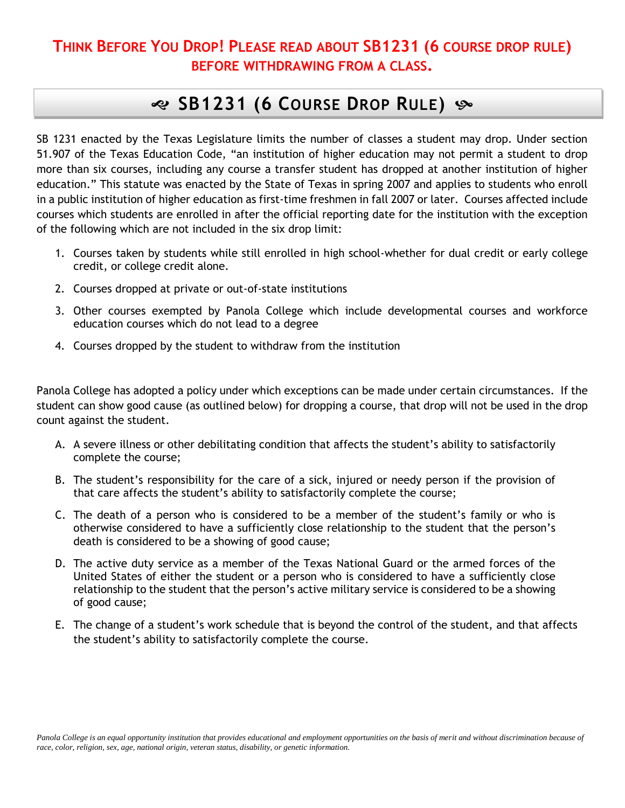### **THINK BEFORE YOU DROP! PLEASE READ ABOUT SB1231 (6 COURSE DROP RULE) BEFORE WITHDRAWING FROM A CLASS.**

## **SB1231 (6 COURSE DROP RULE)**

SB 1231 enacted by the Texas Legislature limits the number of classes a student may drop. Under section 51.907 of the Texas Education Code, "an institution of higher education may not permit a student to drop more than six courses, including any course a transfer student has dropped at another institution of higher education." This statute was enacted by the State of Texas in spring 2007 and applies to students who enroll in a public institution of higher education as first-time freshmen in fall 2007 or later. Courses affected include courses which students are enrolled in after the official reporting date for the institution with the exception of the following which are not included in the six drop limit:

- 1. Courses taken by students while still enrolled in high school-whether for dual credit or early college credit, or college credit alone.
- 2. Courses dropped at private or out-of-state institutions
- 3. Other courses exempted by Panola College which include developmental courses and workforce education courses which do not lead to a degree
- 4. Courses dropped by the student to withdraw from the institution

Panola College has adopted a policy under which exceptions can be made under certain circumstances. If the student can show good cause (as outlined below) for dropping a course, that drop will not be used in the drop count against the student.

- A. A severe illness or other debilitating condition that affects the student's ability to satisfactorily complete the course;
- B. The student's responsibility for the care of a sick, injured or needy person if the provision of that care affects the student's ability to satisfactorily complete the course;
- C. The death of a person who is considered to be a member of the student's family or who is otherwise considered to have a sufficiently close relationship to the student that the person's death is considered to be a showing of good cause;
- D. The active duty service as a member of the Texas National Guard or the armed forces of the United States of either the student or a person who is considered to have a sufficiently close relationship to the student that the person's active military service is considered to be a showing of good cause;
- E. The change of a student's work schedule that is beyond the control of the student, and that affects the student's ability to satisfactorily complete the course.